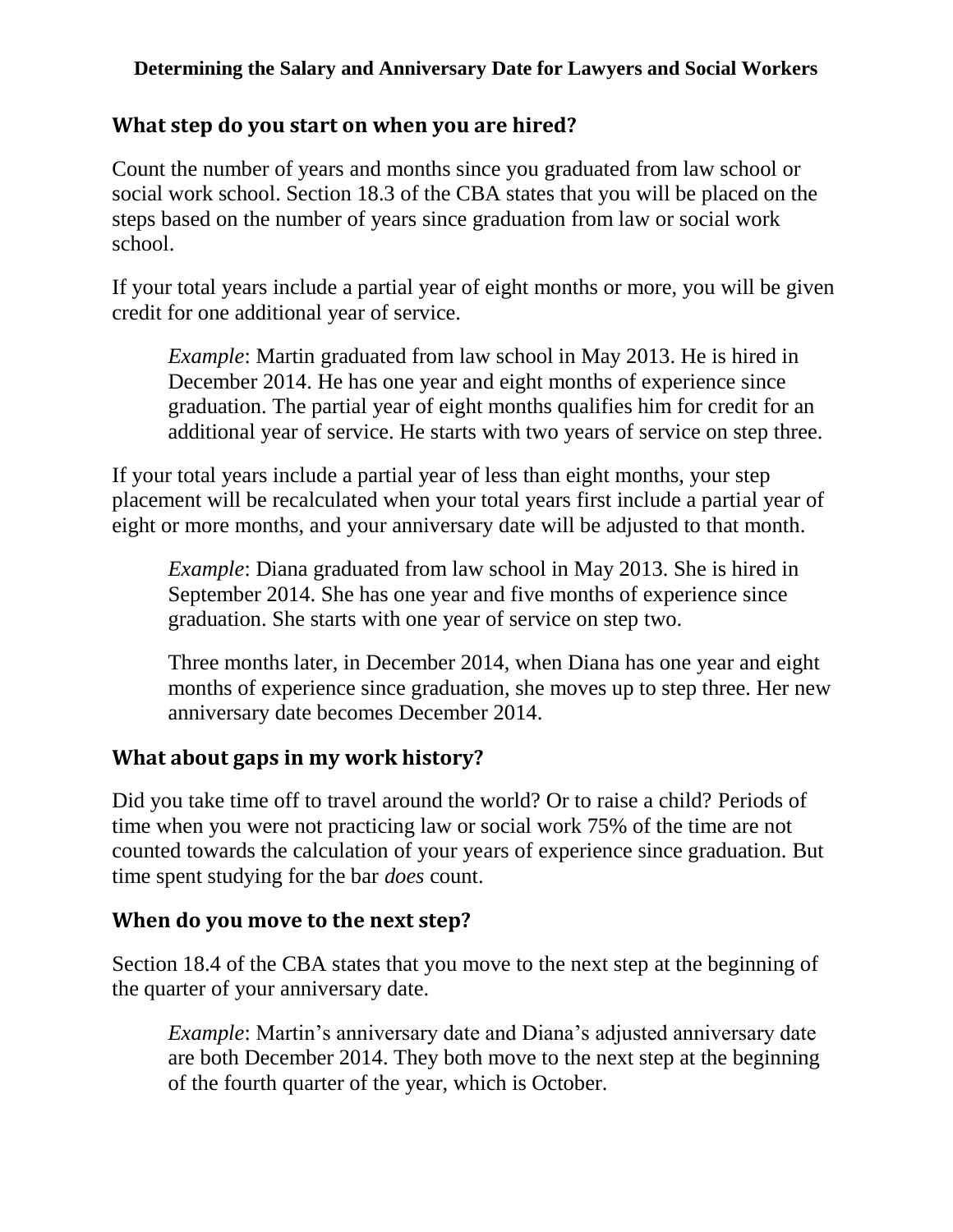## **Determining the Salary and Anniversary Date for Lawyers and Social Workers**

# **What step do you start on when you are hired?**

Count the number of years and months since you graduated from law school or social work school. Section 18.3 of the CBA states that you will be placed on the steps based on the number of years since graduation from law or social work school.

If your total years include a partial year of eight months or more, you will be given credit for one additional year of service.

*Example*: Martin graduated from law school in May 2013. He is hired in December 2014. He has one year and eight months of experience since graduation. The partial year of eight months qualifies him for credit for an additional year of service. He starts with two years of service on step three.

If your total years include a partial year of less than eight months, your step placement will be recalculated when your total years first include a partial year of eight or more months, and your anniversary date will be adjusted to that month.

*Example*: Diana graduated from law school in May 2013. She is hired in September 2014. She has one year and five months of experience since graduation. She starts with one year of service on step two.

Three months later, in December 2014, when Diana has one year and eight months of experience since graduation, she moves up to step three. Her new anniversary date becomes December 2014.

# **What about gaps in my work history?**

Did you take time off to travel around the world? Or to raise a child? Periods of time when you were not practicing law or social work 75% of the time are not counted towards the calculation of your years of experience since graduation. But time spent studying for the bar *does* count.

## **When do you move to the next step?**

Section 18.4 of the CBA states that you move to the next step at the beginning of the quarter of your anniversary date.

*Example*: Martin's anniversary date and Diana's adjusted anniversary date are both December 2014. They both move to the next step at the beginning of the fourth quarter of the year, which is October.